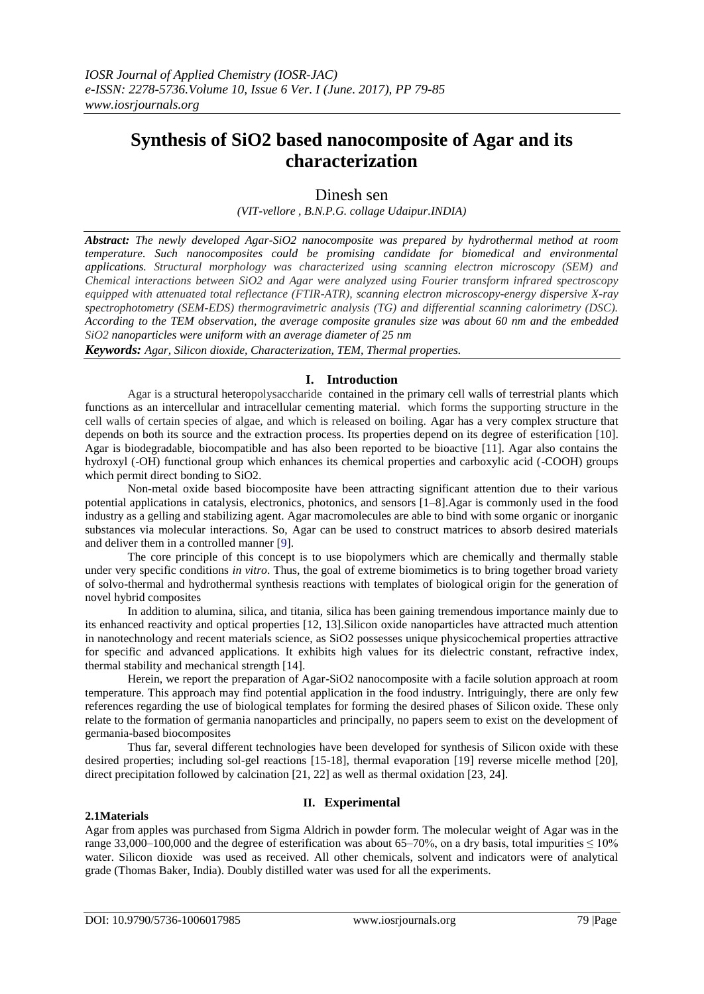# **Synthesis of SiO2 based nanocomposite of Agar and its characterization**

# Dinesh sen

*(VIT-vellore , B.N.P.G. collage Udaipur.INDIA)*

*Abstract: The newly developed Agar-SiO2 nanocomposite was prepared by hydrothermal method at room temperature. Such nanocomposites could be promising candidate for biomedical and environmental applications. Structural morphology was characterized using scanning electron microscopy (SEM) and Chemical interactions between SiO2 and Agar were analyzed using Fourier transform infrared spectroscopy equipped with attenuated total reflectance (FTIR-ATR), scanning electron microscopy-energy dispersive X-ray spectrophotometry (SEM-EDS) thermogravimetric analysis (TG) and differential scanning calorimetry (DSC). According to the TEM observation, the average composite granules size was about 60 nm and the embedded SiO2 nanoparticles were uniform with an average diameter of 25 nm*

*Keywords: Agar, Silicon dioxide, Characterization, TEM, Thermal properties.*

# **I. Introduction**

Agar is a structural heteropolysaccharide contained in the primary cell walls of terrestrial plants which functions as an intercellular and intracellular cementing material. which forms the supporting structure in the cell walls of certain species of algae, and which is released on boiling. Agar has a very complex structure that depends on both its source and the extraction process. Its properties depend on its degree of esterification [10]. Agar is biodegradable, biocompatible and has also been reported to be bioactive [11]. Agar also contains the hydroxyl (-OH) functional group which enhances its chemical properties and carboxylic acid (-COOH) groups which permit direct bonding to SiO2.

Non-metal oxide based biocomposite have been attracting significant attention due to their various potential applications in catalysis, electronics, photonics, and sensors [1–8].Agar is commonly used in the food industry as a gelling and stabilizing agent. Agar macromolecules are able to bind with some organic or inorganic substances via molecular interactions. So, Agar can be used to construct matrices to absorb desired materials and deliver them in a controlled manner [9].

The core principle of this concept is to use biopolymers which are chemically and thermally stable under very specific conditions *in vitro*. Thus, the goal of extreme biomimetics is to bring together broad variety of solvo-thermal and hydrothermal synthesis reactions with templates of biological origin for the generation of novel hybrid composites

In addition to alumina, silica, and titania, silica has been gaining tremendous importance mainly due to its enhanced reactivity and optical properties [12, 13].Silicon oxide nanoparticles have attracted much attention in nanotechnology and recent materials science, as SiO2 possesses unique physicochemical properties attractive for specific and advanced applications. It exhibits high values for its dielectric constant, refractive index, thermal stability and mechanical strength [14].

Herein, we report the preparation of Agar-SiO2 nanocomposite with a facile solution approach at room temperature. This approach may find potential application in the food industry. Intriguingly, there are only few references regarding the use of biological templates for forming the desired phases of Silicon oxide. These only relate to the formation of germania nanoparticles and principally, no papers seem to exist on the development of germania-based biocomposites

Thus far, several different technologies have been developed for synthesis of Silicon oxide with these desired properties; including sol-gel reactions [15-18], thermal evaporation [19] reverse micelle method [20], direct precipitation followed by calcination [21, 22] as well as thermal oxidation [23, 24].

## **II. Experimental**

#### **2.1Materials**

Agar from apples was purchased from Sigma Aldrich in powder form. The molecular weight of Agar was in the range 33,000–100,000 and the degree of esterification was about 65–70%, on a dry basis, total impurities  $\leq 10\%$ water. Silicon dioxide was used as received. All other chemicals, solvent and indicators were of analytical grade (Thomas Baker, India). Doubly distilled water was used for all the experiments.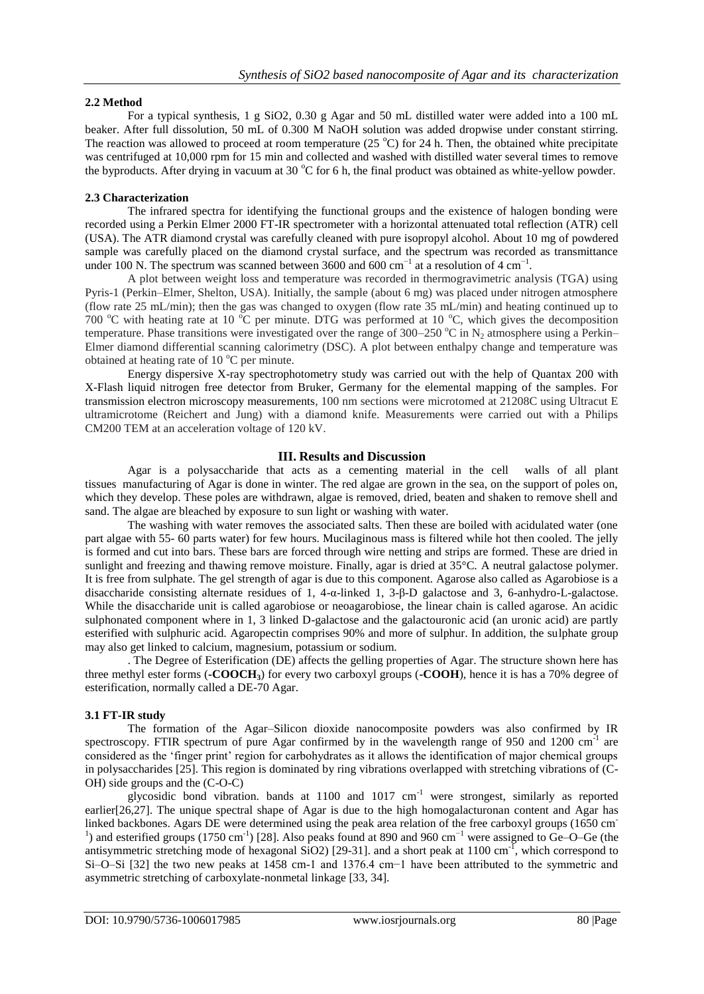## **2.2 Method**

For a typical synthesis, 1 g SiO2, 0.30 g Agar and 50 mL distilled water were added into a 100 mL beaker. After full dissolution, 50 mL of 0.300 M NaOH solution was added dropwise under constant stirring. The reaction was allowed to proceed at room temperature (25  $^{\circ}$ C) for 24 h. Then, the obtained white precipitate was centrifuged at 10,000 rpm for 15 min and collected and washed with distilled water several times to remove the byproducts. After drying in vacuum at 30  $^{\circ}$ C for 6 h, the final product was obtained as white-yellow powder.

## **2.3 Characterization**

The infrared spectra for identifying the functional groups and the existence of halogen bonding were recorded using a Perkin Elmer 2000 FT-IR spectrometer with a horizontal attenuated total reflection (ATR) cell (USA). The ATR diamond crystal was carefully cleaned with pure isopropyl alcohol. About 10 mg of powdered sample was carefully placed on the diamond crystal surface, and the spectrum was recorded as transmittance under 100 N. The spectrum was scanned between 3600 and 600 cm<sup>-1</sup> at a resolution of 4 cm<sup>-1</sup>.

A plot between weight loss and temperature was recorded in thermogravimetric analysis (TGA) using Pyris-1 (Perkin–Elmer, Shelton, USA). Initially, the sample (about 6 mg) was placed under nitrogen atmosphere (flow rate 25 mL/min); then the gas was changed to oxygen (flow rate 35 mL/min) and heating continued up to 700  $^{\circ}$ C with heating rate at 10  $^{\circ}$ C per minute. DTG was performed at 10  $^{\circ}$ C, which gives the decomposition temperature. Phase transitions were investigated over the range of 300–250 °C in N<sub>2</sub> atmosphere using a Perkin– Elmer diamond differential scanning calorimetry (DSC). A plot between enthalpy change and temperature was obtained at heating rate of  $10<sup>o</sup>C$  per minute.

Energy dispersive X-ray spectrophotometry study was carried out with the help of Quantax 200 with X-Flash liquid nitrogen free detector from Bruker, Germany for the elemental mapping of the samples. For transmission electron microscopy measurements, 100 nm sections were microtomed at 21208C using Ultracut E ultramicrotome (Reichert and Jung) with a diamond knife. Measurements were carried out with a Philips CM200 TEM at an acceleration voltage of 120 kV.

## **III. Results and Discussion**

Agar is a polysaccharide that acts as a cementing material in the cell walls of all plant tissues manufacturing of Agar is done in winter. The red algae are grown in the sea, on the support of poles on, which they develop. These poles are withdrawn, algae is removed, dried, beaten and shaken to remove shell and sand. The algae are bleached by exposure to sun light or washing with water.

The washing with water removes the associated salts. Then these are boiled with acidulated water (one part algae with 55- 60 parts water) for few hours. Mucilaginous mass is filtered while hot then cooled. The jelly is formed and cut into bars. These bars are forced through wire netting and strips are formed. These are dried in sunlight and freezing and thawing remove moisture. Finally, agar is dried at 35°C. A neutral galactose polymer. It is free from sulphate. The gel strength of agar is due to this component. Agarose also called as Agarobiose is a disaccharide consisting alternate residues of 1, 4-α-linked 1, 3-β-D galactose and 3, 6-anhydro-L-galactose. While the disaccharide unit is called agarobiose or neoagarobiose, the linear chain is called agarose. An acidic sulphonated component where in 1, 3 linked D-galactose and the galactouronic acid (an uronic acid) are partly esterified with sulphuric acid. Agaropectin comprises 90% and more of sulphur. In addition, the sulphate group may also get linked to calcium, magnesium, potassium or sodium.

. The Degree of Esterification (DE) affects the gelling properties of Agar. The structure shown here has three methyl ester forms (**-COOCH3**) for every two carboxyl groups (**-COOH**), hence it is has a 70% degree of esterification, normally called a DE-70 Agar.

### **3.1 FT-IR study**

The formation of the Agar–Silicon dioxide nanocomposite powders was also confirmed by IR spectroscopy. FTIR spectrum of pure Agar confirmed by in the wavelength range of 950 and 1200 cm $^{-1}$  are considered as the 'finger print' region for carbohydrates as it allows the identification of major chemical groups in polysaccharides [25]. This region is dominated by ring vibrations overlapped with stretching vibrations of (C-OH) side groups and the (C-O-C)

glycosidic bond vibration. bands at  $1100$  and  $1017$  cm<sup>-1</sup> were strongest, similarly as reported earlier[26,27]. The unique spectral shape of Agar is due to the high homogalacturonan content and Agar has linked backbones. Agars DE were determined using the peak area relation of the free carboxyl groups (1650 cm<sup>-</sup> <sup>1</sup>) and esterified groups (1750 cm<sup>-1</sup>) [28]. Also peaks found at 890 and 960 cm<sup>-1</sup> were assigned to Ge–O–Ge (the antisymmetric stretching mode of hexagonal  $SiO2$ ) [29-31]. and a short peak at 1100 cm<sup>-1</sup>, which correspond to Si–O–Si [32] the two new peaks at 1458 cm-1 and 1376.4 cm−1 have been attributed to the symmetric and asymmetric stretching of carboxylate-nonmetal linkage [33, 34].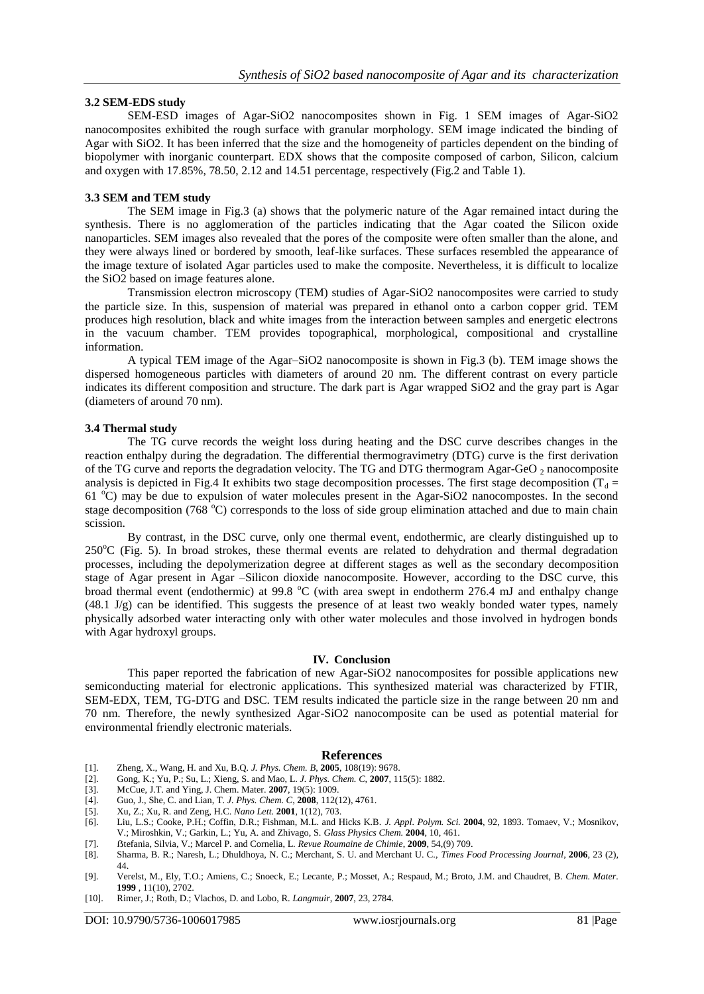### **3.2 SEM-EDS study**

SEM-ESD images of Agar-SiO2 nanocomposites shown in Fig. 1 SEM images of Agar-SiO2 nanocomposites exhibited the rough surface with granular morphology. SEM image indicated the binding of Agar with SiO2. It has been inferred that the size and the homogeneity of particles dependent on the binding of biopolymer with inorganic counterpart. EDX shows that the composite composed of carbon, Silicon, calcium and oxygen with 17.85%, 78.50, 2.12 and 14.51 percentage, respectively (Fig.2 and Table 1).

### **3.3 SEM and TEM study**

The SEM image in Fig.3 (a) shows that the polymeric nature of the Agar remained intact during the synthesis. There is no agglomeration of the particles indicating that the Agar coated the Silicon oxide nanoparticles. SEM images also revealed that the pores of the composite were often smaller than the alone, and they were always lined or bordered by smooth, leaf-like surfaces. These surfaces resembled the appearance of the image texture of isolated Agar particles used to make the composite. Nevertheless, it is difficult to localize the SiO2 based on image features alone.

Transmission electron microscopy (TEM) studies of Agar-SiO2 nanocomposites were carried to study the particle size. In this, suspension of material was prepared in ethanol onto a carbon copper grid. TEM produces high resolution, black and white images from the interaction between samples and energetic electrons in the vacuum chamber. TEM provides topographical, morphological, compositional and crystalline information.

A typical TEM image of the Agar–SiO2 nanocomposite is shown in Fig.3 (b). TEM image shows the dispersed homogeneous particles with diameters of around 20 nm. The different contrast on every particle indicates its different composition and structure. The dark part is Agar wrapped SiO2 and the gray part is Agar (diameters of around 70 nm).

#### **3.4 Thermal study**

The TG curve records the weight loss during heating and the DSC curve describes changes in the reaction enthalpy during the degradation. The differential thermogravimetry (DTG) curve is the first derivation of the TG curve and reports the degradation velocity. The TG and DTG thermogram Agar-GeO 2 nanocomposite analysis is depicted in Fig.4 It exhibits two stage decomposition processes. The first stage decomposition ( $T_d$  = 61  $^{\circ}$ C) may be due to expulsion of water molecules present in the Agar-SiO2 nanocompostes. In the second stage decomposition (768 $^{\circ}$ C) corresponds to the loss of side group elimination attached and due to main chain scission.

By contrast, in the DSC curve, only one thermal event, endothermic, are clearly distinguished up to  $250^{\circ}$ C (Fig. 5). In broad strokes, these thermal events are related to dehydration and thermal degradation processes, including the depolymerization degree at different stages as well as the secondary decomposition stage of Agar present in Agar –Silicon dioxide nanocomposite. However, according to the DSC curve, this broad thermal event (endothermic) at 99.8  $^{\circ}$ C (with area swept in endotherm 276.4 mJ and enthalpy change (48.1 J/g) can be identified. This suggests the presence of at least two weakly bonded water types, namely physically adsorbed water interacting only with other water molecules and those involved in hydrogen bonds with Agar hydroxyl groups.

#### **IV. Conclusion**

This paper reported the fabrication of new Agar-SiO2 nanocomposites for possible applications new semiconducting material for electronic applications. This synthesized material was characterized by FTIR, SEM-EDX, TEM, TG-DTG and DSC. TEM results indicated the particle size in the range between 20 nm and 70 nm. Therefore, the newly synthesized Agar-SiO2 nanocomposite can be used as potential material for environmental friendly electronic materials.

#### **References**

- [1]. Zheng, X., Wang, H. and Xu, B.Q. *J. Phys. Chem. B*, **2005**, 108(19): 9678.
- [2]. Gong, K.; Yu, P.; Su, L.; Xieng, S. and Mao, L. *J. Phys. Chem. C,* **2007**, 115(5): 1882.
- [3]. McCue, J.T. and Ying, J. Chem. Mater. **2007**, 19(5): 1009.
- [4]. Guo, J., She, C. and Lian, T. *J. Phys. Chem. C*, **2008**, 112(12), 4761.
- [5]. Xu, Z.; Xu, R. and Zeng, H.C. *Nano Lett.* **2001**, 1(12), 703.
- [6]. Liu, L.S.; Cooke, P.H.; Coffin, D.R.; Fishman, M.L. and Hicks K.B. *J. Appl. Polym. Sci.* **2004**, 92, 1893. Tomaev, V.; Mosnikov, V.; Miroshkin, V.; Garkin, L.; Yu, A. and Zhivago, S. *Glass Physics Chem.* **2004**, 10, 461.
- [7]. ẞtefania, Silvia, V.; Marcel P. and Cornelia, L. *Revue Roumaine de Chimie*, **2009**, 54,(9) 709.
- [8]. Sharma, B. R.; Naresh, L.; Dhuldhoya, N. C.; Merchant, S. U. and Merchant U. C., *Times Food Processing Journal*, **2006**, 23 (2), 44.
- [9]. Verelst, M., Ely, T.O.; Amiens, C.; Snoeck, E.; Lecante, P.; Mosset, A.; Respaud, M.; Broto, J.M. and Chaudret, B. *Chem. Mater.* **1999** , 11(10), 2702.
- [10]. Rimer, J.; Roth, D.; Vlachos, D. and Lobo, R. *Langmuir*, **2007**, 23, 2784.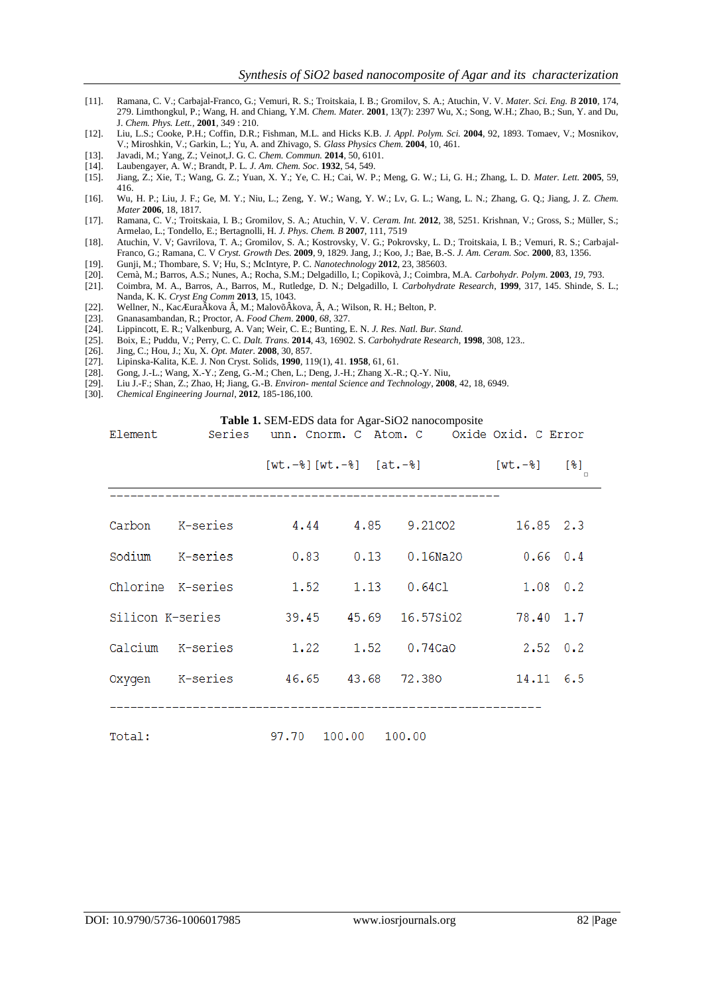- [11]. Ramana, C. V.; Carbajal-Franco, G.; Vemuri, R. S.; Troitskaia, I. B.; Gromilov, S. A.; Atuchin, V. V. *Mater. Sci. Eng. B* **2010**, 174, 279. Limthongkul, P.; Wang, H. and Chiang, Y.M. *Chem. Mater.* **2001**, 13(7): 2397 Wu, X.; Song, W.H.; Zhao, B.; Sun, Y. and Du, J. *Chem. Phys. Lett.,* **2001**, 349 : 210.
- [12]. Liu, L.S.; Cooke, P.H.; Coffin, D.R.; Fishman, M.L. and Hicks K.B. *J. Appl. Polym. Sci.* **2004**, 92, 1893. Tomaev, V.; Mosnikov, V.; Miroshkin, V.; Garkin, L.; Yu, A. and Zhivago, S. *Glass Physics Chem.* **2004**, 10, 461.
- [13]. Javadi, M.; Yang, Z.; Veinot,J. G. C. *Chem. Commun.* **2014**, 50, 6101.
- [14]. Laubengayer, A. W.; Brandt, P. L. *J. Am. Chem. Soc*. **1932**, 54, 549.
- [15]. Jiang, Z.; Xie, T.; Wang, G. Z.; Yuan, X. Y.; Ye, C. H.; Cai, W. P.; Meng, G. W.; Li, G. H.; Zhang, L. D. *Mater. Lett.* **2005**, 59, 416.
- [16]. Wu, H. P.; Liu, J. F.; Ge, M. Y.; Niu, L.; Zeng, Y. W.; Wang, Y. W.; Lv, G. L.; Wang, L. N.; Zhang, G. Q.; Jiang, J. Z. *Chem. Mater* **2006**, 18, 1817.
- [17]. Ramana, C. V.; Troitskaia, I. B.; Gromilov, S. A.; Atuchin, V. V. *Ceram. Int.* **2012**, 38, 5251. Krishnan, V.; Gross, S.; Müller, S.; Armelao, L.; Tondello, E.; Bertagnolli, H. *J. Phys. Chem. B* **2007**, 111, 7519
- [18]. Atuchin, V. V; Gavrilova, T. A.; Gromilov, S. A.; Kostrovsky, V. G.; Pokrovsky, L. D.; Troitskaia, I. B.; Vemuri, R. S.; Carbajal-Franco, G.; Ramana, C. V *Cryst. Growth Des.* **2009**, 9, 1829. Jang, J.; Koo, J.; Bae, B.-S. *J. Am. Ceram. Soc.* **2000**, 83, 1356.
- [19]. Gunji, M.; Thombare, S. V; Hu, S.; McIntyre, P. C. *Nanotechnology* **2012**, 23, 385603.
- [20]. Cernà, M.; Barros, A.S.; Nunes, A.; Rocha, S.M.; Delgadillo, I.; Copìkovà, J.; Coimbra, M.A. *Carbohydr. Polym*. **2003**, *19*, 793.
- [21]. Coimbra, M. A., Barros, A., Barros, M., Rutledge, D. N.; Delgadillo, I. *Carbohydrate Research*, **1999**, 317, 145. Shinde, S. L.; Nanda, K. K. *Cryst Eng Comm* **2013**, 15, 1043.
- [22]. Wellner, N., KacÆuraÂkova Â, M.; MalovõÂkova, Â, A.; Wilson, R. H.; Belton, P. [23]. Gnanasambandan, R.; Proctor, A. Food Chem. 2000, 68, 327.
- [23]. Gnanasambandan, R.; Proctor, A. *Food Chem*. **2000**, *68*, 327.
- [24]. Lippincott, E. R.; Valkenburg, A. Van; Weir, C. E.; Bunting, E. N. *J. Res. Natl. Bur. Stand.*
- [25]. Boix, E.; Puddu, V.; Perry, C. C. *Dalt. Trans.* **2014**, 43, 16902. S. *Carbohydrate Research*, **1998**, 308, 123..
- [26]. Jing, C.; Hou, J.; Xu, X. *Opt. Mater.* **2008**, 30, 857.
- [27]. Lipinska-Kalita, K.E. J. Non Cryst. Solids, **1990**, 119(1), 41. **1958**, 61, 61.
- [28]. Gong, J.-L.; Wang, X.-Y.; Zeng, G.-M.; Chen, L.; Deng, J.-H.; Zhang X.-R.; Q.-Y. Niu, [29]. Liu J.-F.; Shan, Z.; Zhao, H; Jiang, G.-B. Environ-mental Science and Technology, 200
- [29]. Liu J.-F.; Shan, Z.; Zhao, H; Jiang, G.-B. *Environ- mental Science and Technology*, **2008**, 42, 18, 6949.
- [30]. *Chemical Engineering Journal*, **2012**, 185-186,100.

#### **Table 1.** SEM-EDS data for Agar-SiO2 nanocomposite

|                                                  |  |  |  | $[wt.-\$ $[wt.-\$ $[at.-\$ $[wt.-\$ $[wt.-\$ $[\$ |  |  |
|--------------------------------------------------|--|--|--|---------------------------------------------------|--|--|
|                                                  |  |  |  |                                                   |  |  |
|                                                  |  |  |  | Carbon K-series 4.44 4.85 9.21CO2 16.85 2.3       |  |  |
|                                                  |  |  |  |                                                   |  |  |
|                                                  |  |  |  |                                                   |  |  |
| Silicon K-series 39.45 45.69 16.57SiO2 78.40 1.7 |  |  |  |                                                   |  |  |
|                                                  |  |  |  | Calcium K-series 1.22 1.52 0.74CaO 2.52 0.2       |  |  |
|                                                  |  |  |  | Oxygen K-series  46.65  43.68  72.380  14.11  6.5 |  |  |
|                                                  |  |  |  |                                                   |  |  |
| 97.70 100.00 100.00<br>Total:                    |  |  |  |                                                   |  |  |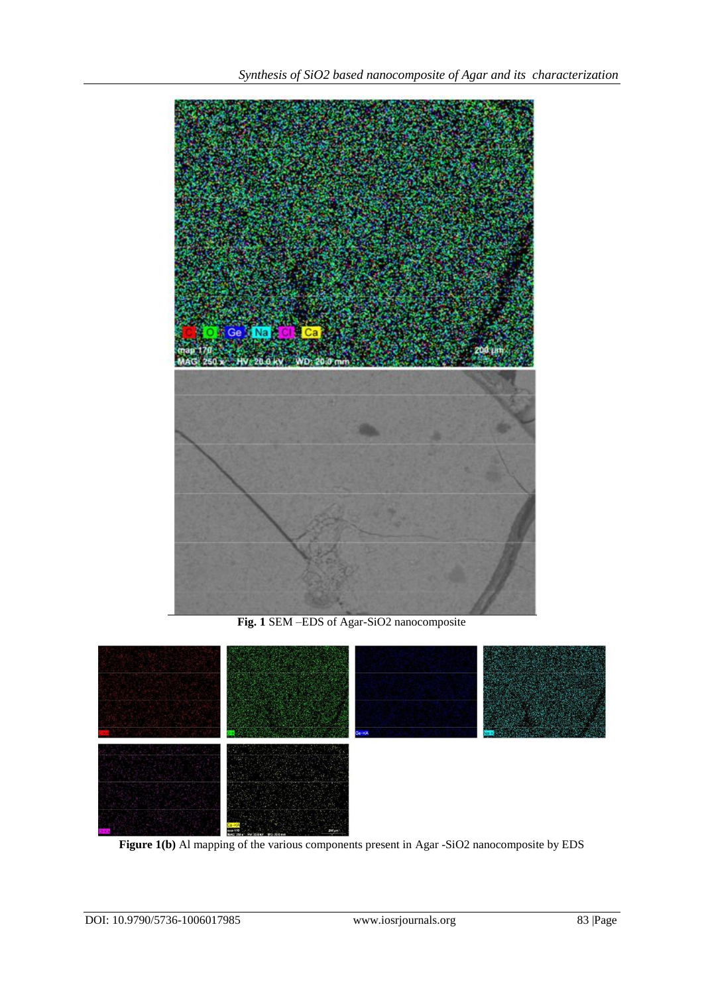

**Fig. 1** SEM –EDS of Agar-SiO2 nanocomposite



**Figure 1(b)** Al mapping of the various components present in Agar -SiO2 nanocomposite by EDS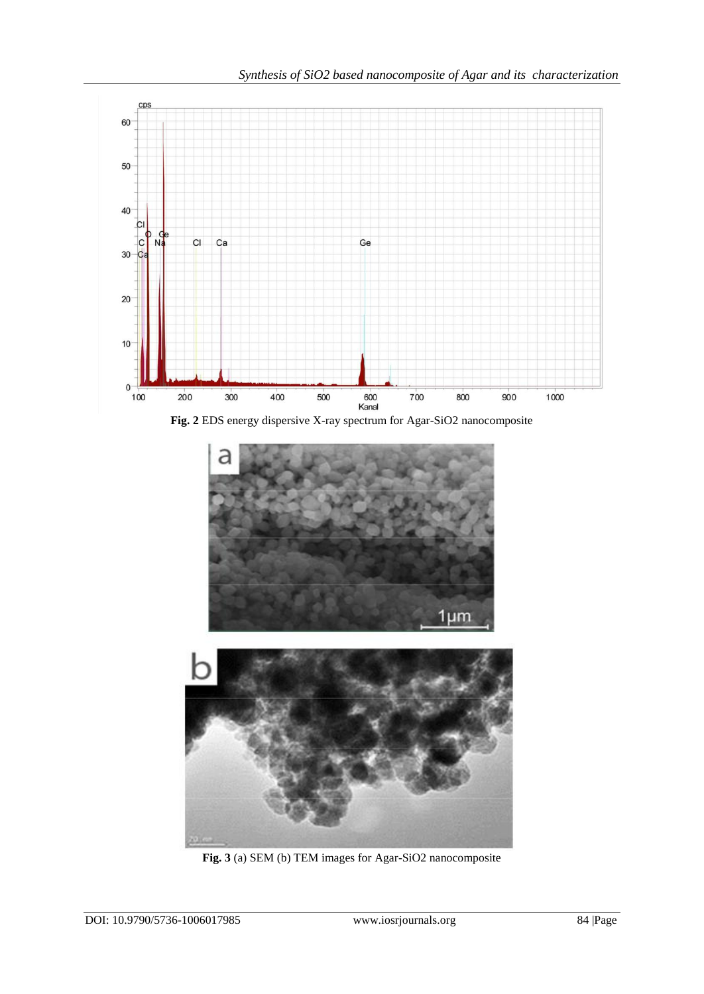

**Fig. 2** EDS energy dispersive X-ray spectrum for Agar-SiO2 nanocomposite



**Fig. 3** (a) SEM (b) TEM images for Agar-SiO2 nanocomposite